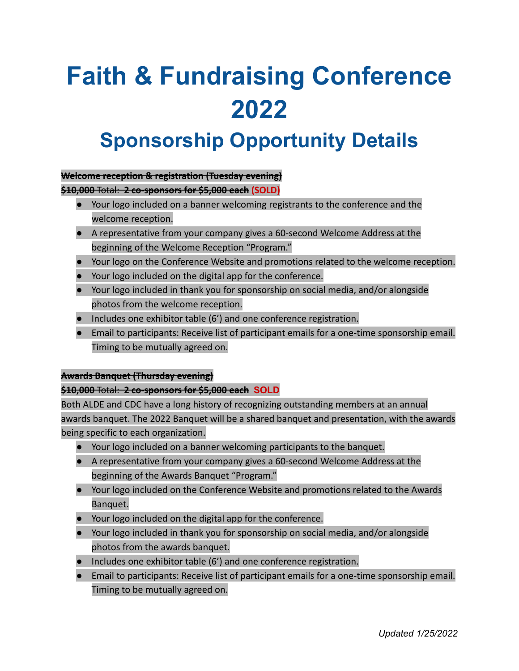# **Faith & Fundraising Conference 2022**

### **Sponsorship Opportunity Details**

#### **Welcome reception & registration (Tuesday evening)**

**\$10,000** Total: **2 co-sponsors for \$5,000 each (SOLD)**

- Your logo included on a banner welcoming registrants to the conference and the welcome reception.
- A representative from your company gives a 60-second Welcome Address at the beginning of the Welcome Reception "Program."
- Your logo on the Conference Website and promotions related to the welcome reception.
- Your logo included on the digital app for the conference.
- Your logo included in thank you for sponsorship on social media, and/or alongside photos from the welcome reception.
- Includes one exhibitor table (6') and one conference registration.
- Email to participants: Receive list of participant emails for a one-time sponsorship email. Timing to be mutually agreed on.

#### **Awards Banquet (Thursday evening)**

#### **\$10,000** Total: **2 co-sponsors for \$5,000 each SOLD**

Both ALDE and CDC have a long history of recognizing outstanding members at an annual awards banquet. The 2022 Banquet will be a shared banquet and presentation, with the awards being specific to each organization.

- Your logo included on a banner welcoming participants to the banquet.
- A representative from your company gives a 60-second Welcome Address at the beginning of the Awards Banquet "Program."
- Your logo included on the Conference Website and promotions related to the Awards Banquet.
- Your logo included on the digital app for the conference.
- Your logo included in thank you for sponsorship on social media, and/or alongside photos from the awards banquet.
- Includes one exhibitor table (6') and one conference registration.
- Email to participants: Receive list of participant emails for a one-time sponsorship email. Timing to be mutually agreed on.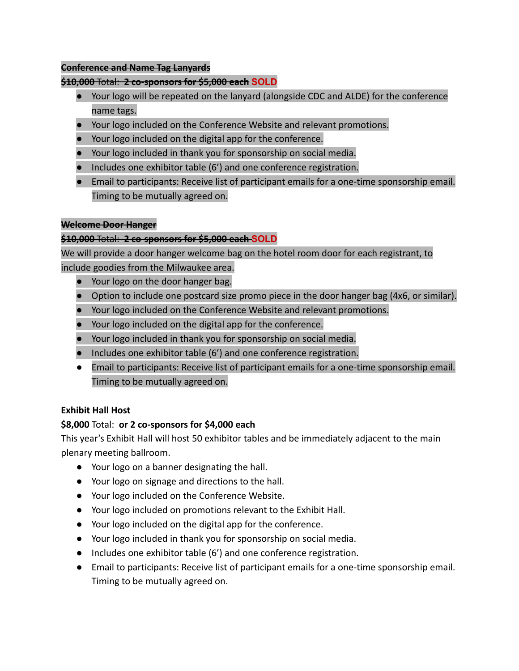#### **Conference and Name Tag Lanyards**

#### **\$10,000** Total: **2 co-sponsors for \$5,000 each SOLD**

- Your logo will be repeated on the lanyard (alongside CDC and ALDE) for the conference name tags.
- Your logo included on the Conference Website and relevant promotions.
- Your logo included on the digital app for the conference.
- Your logo included in thank you for sponsorship on social media.
- Includes one exhibitor table (6') and one conference registration.
- Email to participants: Receive list of participant emails for a one-time sponsorship email. Timing to be mutually agreed on.

#### **Welcome Door Hanger**

#### **\$10,000** Total: **2 co-sponsors for \$5,000 each SOLD**

We will provide a door hanger welcome bag on the hotel room door for each registrant, to include goodies from the Milwaukee area.

- Your logo on the door hanger bag.
- Option to include one postcard size promo piece in the door hanger bag (4x6, or similar).
- Your logo included on the Conference Website and relevant promotions.
- Your logo included on the digital app for the conference.
- Your logo included in thank you for sponsorship on social media.
- Includes one exhibitor table (6') and one conference registration.
- Email to participants: Receive list of participant emails for a one-time sponsorship email. Timing to be mutually agreed on.

#### **Exhibit Hall Host**

#### **\$8,000** Total: **or 2 co-sponsors for \$4,000 each**

This year's Exhibit Hall will host 50 exhibitor tables and be immediately adjacent to the main plenary meeting ballroom.

- Your logo on a banner designating the hall.
- Your logo on signage and directions to the hall.
- Your logo included on the Conference Website.
- Your logo included on promotions relevant to the Exhibit Hall.
- Your logo included on the digital app for the conference.
- Your logo included in thank you for sponsorship on social media.
- Includes one exhibitor table (6') and one conference registration.
- Email to participants: Receive list of participant emails for a one-time sponsorship email. Timing to be mutually agreed on.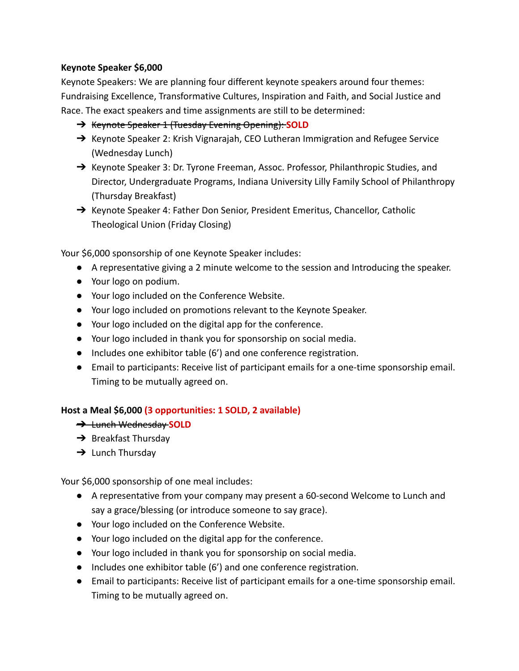#### **Keynote Speaker \$6,000**

Keynote Speakers: We are planning four different keynote speakers around four themes: Fundraising Excellence, Transformative Cultures, Inspiration and Faith, and Social Justice and Race. The exact speakers and time assignments are still to be determined:

- ➔ Keynote Speaker 1 (Tuesday Evening Opening): **SOLD**
- → Keynote Speaker 2: Krish Vignarajah, CEO Lutheran Immigration and Refugee Service (Wednesday Lunch)
- → Keynote Speaker 3: Dr. Tyrone Freeman, Assoc. Professor, Philanthropic Studies, and Director, Undergraduate Programs, Indiana University Lilly Family School of Philanthropy (Thursday Breakfast)
- → Keynote Speaker 4: Father Don Senior, President Emeritus, Chancellor, Catholic Theological Union (Friday Closing)

Your \$6,000 sponsorship of one Keynote Speaker includes:

- A representative giving a 2 minute welcome to the session and Introducing the speaker.
- Your logo on podium.
- Your logo included on the Conference Website.
- Your logo included on promotions relevant to the Keynote Speaker.
- Your logo included on the digital app for the conference.
- Your logo included in thank you for sponsorship on social media.
- Includes one exhibitor table (6') and one conference registration.
- Email to participants: Receive list of participant emails for a one-time sponsorship email. Timing to be mutually agreed on.

#### **Host a Meal \$6,000 (3 opportunities: 1 SOLD, 2 available)**

- ➔ Lunch Wednesday **SOLD**
- $\rightarrow$  Breakfast Thursday
- $\rightarrow$  Lunch Thursday

Your \$6,000 sponsorship of one meal includes:

- A representative from your company may present a 60-second Welcome to Lunch and say a grace/blessing (or introduce someone to say grace).
- Your logo included on the Conference Website.
- Your logo included on the digital app for the conference.
- Your logo included in thank you for sponsorship on social media.
- Includes one exhibitor table (6') and one conference registration.
- Email to participants: Receive list of participant emails for a one-time sponsorship email. Timing to be mutually agreed on.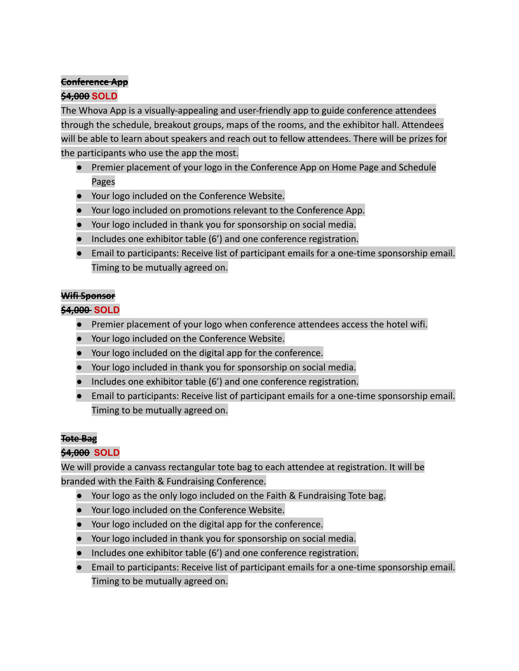### **Conference App**

#### **\$4,000 SOLD**

The Whova App is a visually-appealing and user-friendly app to guide conference attendees through the schedule, breakout groups, maps of the rooms, and the exhibitor hall. Attendees will be able to learn about speakers and reach out to fellow attendees. There will be prizes for the participants who use the app the most.

- Premier placement of your logo in the Conference App on Home Page and Schedule Pages
- Your logo included on the Conference Website.
- Your logo included on promotions relevant to the Conference App.
- Your logo included in thank you for sponsorship on social media.
- Includes one exhibitor table (6') and one conference registration.
- **●** Email to participants: Receive list of participant emails for a one-time sponsorship email. Timing to be mutually agreed on.

#### **Wifi Sponsor**

#### **\$4,000 SOLD**

- Premier placement of your logo when conference attendees access the hotel wifi.
- Your logo included on the Conference Website.
- Your logo included on the digital app for the conference.
- Your logo included in thank you for sponsorship on social media.
- Includes one exhibitor table (6') and one conference registration.
- Email to participants: Receive list of participant emails for a one-time sponsorship email. Timing to be mutually agreed on.

#### **Tote Bag**

#### **\$4,000 SOLD**

We will provide a canvass rectangular tote bag to each attendee at registration. It will be branded with the Faith & Fundraising Conference.

- Your logo as the only logo included on the Faith & Fundraising Tote bag.
- Your logo included on the Conference Website.
- Your logo included on the digital app for the conference.
- Your logo included in thank you for sponsorship on social media.
- Includes one exhibitor table (6') and one conference registration.
- Email to participants: Receive list of participant emails for a one-time sponsorship email. Timing to be mutually agreed on.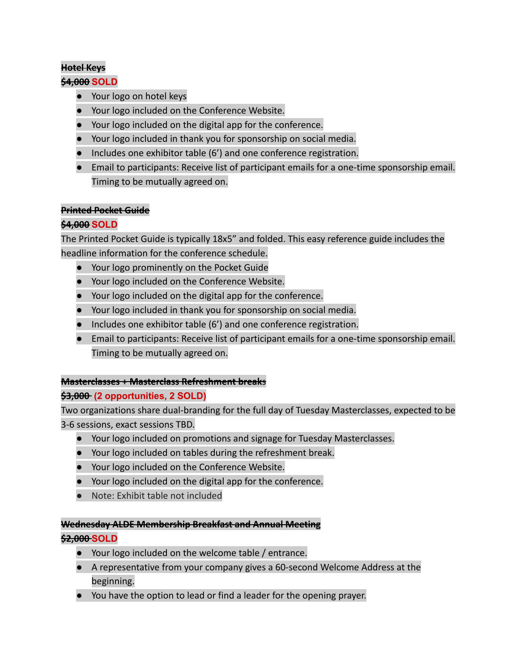#### **Hotel Keys**

#### **\$4,000 SOLD**

- Your logo on hotel keys
- Your logo included on the Conference Website.
- Your logo included on the digital app for the conference.
- Your logo included in thank you for sponsorship on social media.
- Includes one exhibitor table (6') and one conference registration.
- Email to participants: Receive list of participant emails for a one-time sponsorship email. Timing to be mutually agreed on.

#### **Printed Pocket Guide**

#### **\$4,000 SOLD**

The Printed Pocket Guide is typically 18x5" and folded. This easy reference guide includes the headline information for the conference schedule.

- Your logo prominently on the Pocket Guide
- Your logo included on the Conference Website.
- Your logo included on the digital app for the conference.
- Your logo included in thank you for sponsorship on social media.
- Includes one exhibitor table (6') and one conference registration.
- Email to participants: Receive list of participant emails for a one-time sponsorship email. Timing to be mutually agreed on.

#### **Masterclasses + Masterclass Refreshment break**s

#### **\$3,000 (2 opportunities, 2 SOLD)**

Two organizations share dual-branding for the full day of Tuesday Masterclasses, expected to be 3-6 sessions, exact sessions TBD.

- Your logo included on promotions and signage for Tuesday Masterclasses.
- Your logo included on tables during the refreshment break.
- Your logo included on the Conference Website.
- Your logo included on the digital app for the conference.
- Note: Exhibit table not included

#### **Wednesday ALDE Membership Breakfast and Annual Meeting**

#### **\$2,000 SOLD**

- Your logo included on the welcome table / entrance.
- A representative from your company gives a 60-second Welcome Address at the beginning.
- You have the option to lead or find a leader for the opening prayer.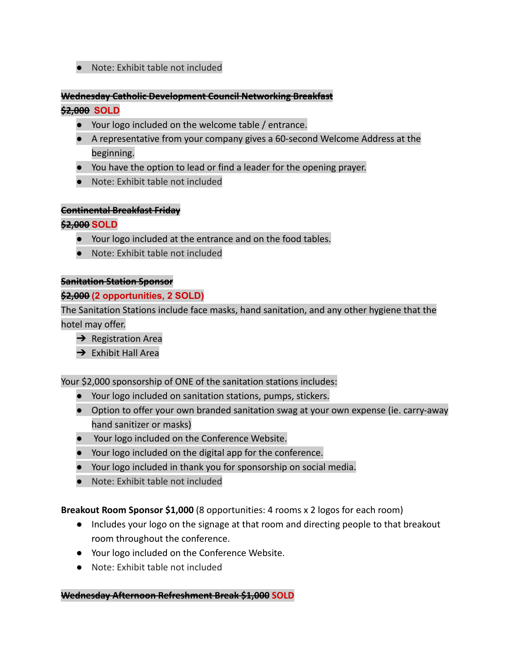#### ● Note: Exhibit table not included

#### **Wednesday Catholic Development Council Networking Breakfast**

#### **\$2,000 SOLD**

- Your logo included on the welcome table / entrance.
- A representative from your company gives a 60-second Welcome Address at the beginning.
- You have the option to lead or find a leader for the opening prayer.
- Note: Exhibit table not included

#### **Continental Breakfast Friday**

#### **\$2,000 SOLD**

- Your logo included at the entrance and on the food tables.
- Note: Exhibit table not included

#### **Sanitation Station Sponsor**

#### **\$2,000 (2 opportunities, 2 SOLD)**

The Sanitation Stations include face masks, hand sanitation, and any other hygiene that the hotel may offer.

- $\rightarrow$  Registration Area
- $\rightarrow$  Exhibit Hall Area

#### Your \$2,000 sponsorship of ONE of the sanitation stations includes:

- Your logo included on sanitation stations, pumps, stickers.
- Option to offer your own branded sanitation swag at your own expense (ie. carry-away hand sanitizer or masks)
- Your logo included on the Conference Website.
- Your logo included on the digital app for the conference.
- Your logo included in thank you for sponsorship on social media.
- Note: Exhibit table not included

#### **Breakout Room Sponsor \$1,000** (8 opportunities: 4 rooms x 2 logos for each room)

- Includes your logo on the signage at that room and directing people to that breakout room throughout the conference.
- Your logo included on the Conference Website.
- Note: Exhibit table not included

#### **Wednesday Afternoon Refreshment Break \$1,000 SOLD**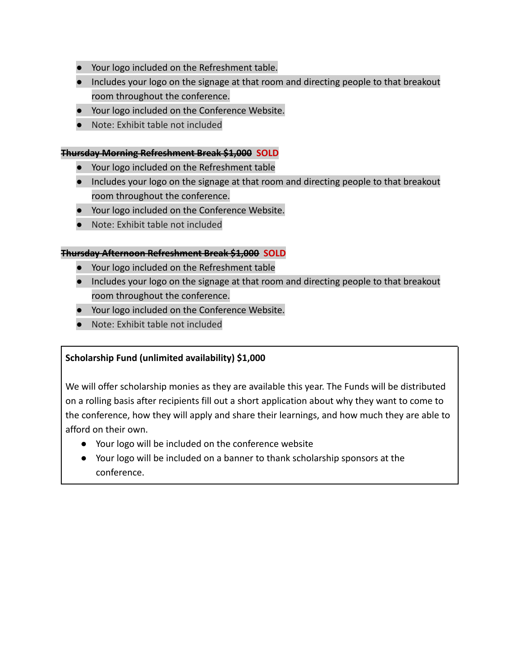- Your logo included on the Refreshment table.
- Includes your logo on the signage at that room and directing people to that breakout room throughout the conference.
- Your logo included on the Conference Website.
- Note: Exhibit table not included

#### **Thursday Morning Refreshment Break \$1,000 SOLD**

- Your logo included on the Refreshment table
- Includes your logo on the signage at that room and directing people to that breakout room throughout the conference.
- Your logo included on the Conference Website.
- Note: Exhibit table not included

#### **Thursday Afternoon Refreshment Break \$1,000 SOLD**

- Your logo included on the Refreshment table
- Includes your logo on the signage at that room and directing people to that breakout room throughout the conference.
- Your logo included on the Conference Website.
- Note: Exhibit table not included

#### **Scholarship Fund (unlimited availability) \$1,000**

We will offer scholarship monies as they are available this year. The Funds will be distributed on a rolling basis after recipients fill out a short application about why they want to come to the conference, how they will apply and share their learnings, and how much they are able to afford on their own.

- Your logo will be included on the conference website
- Your logo will be included on a banner to thank scholarship sponsors at the conference.